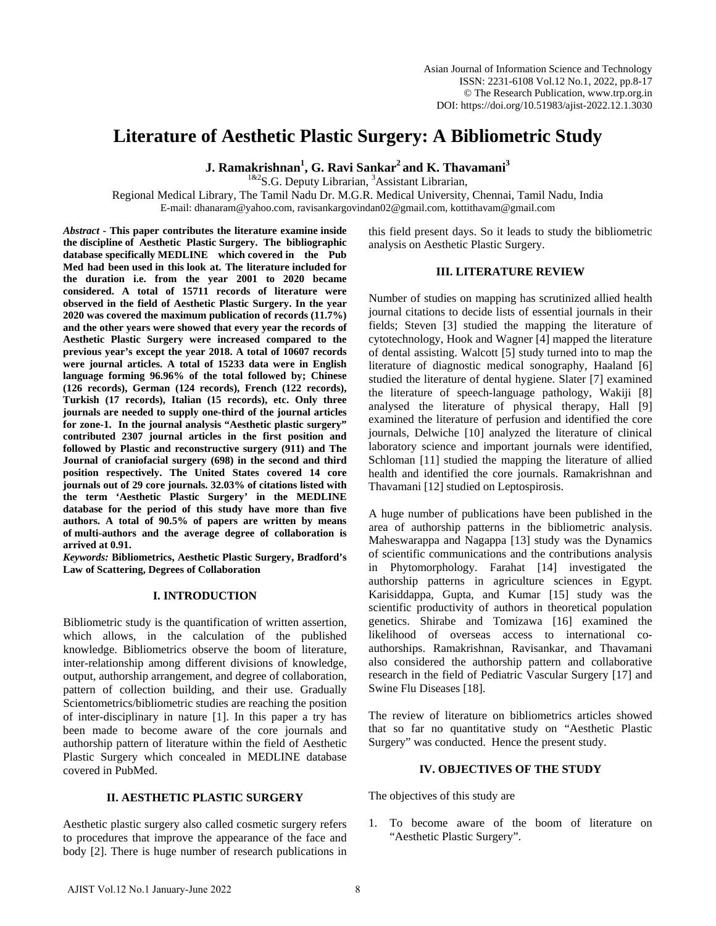# **Literature of Aesthetic Plastic Surgery: A Bibliometric Study**

**J. Ramakrishnan<sup>1</sup> , G. Ravi Sankar2 and K. Thavamani3**

 $1^{182}$ S.G. Deputy Librarian, <sup>3</sup>Assistant Librarian,

Regional Medical Library, The Tamil Nadu Dr. M.G.R. Medical University, Chennai, Tamil Nadu, India E-mail: dhanaram@yahoo.com, ravisankargovindan02@gmail.com, kottithavam@gmail.com

*Abstract* **- This paper contributes the literature examine inside the discipline of Aesthetic Plastic Surgery. The bibliographic database specifically MEDLINE which covered in the Pub Med had been used in this look at. The literature included for the duration i.e. from the year 2001 to 2020 became considered. A total of 15711 records of literature were observed in the field of Aesthetic Plastic Surgery. In the year 2020 was covered the maximum publication of records (11.7%) and the other years were showed that every year the records of Aesthetic Plastic Surgery were increased compared to the previous year's except the year 2018. A total of 10607 records were journal articles. A total of 15233 data were in English language forming 96.96% of the total followed by; Chinese (126 records), German (124 records), French (122 records), Turkish (17 records), Italian (15 records), etc. Only three journals are needed to supply one-third of the journal articles for zone-1. In the journal analysis "Aesthetic plastic surgery" contributed 2307 journal articles in the first position and followed by Plastic and reconstructive surgery (911) and The Journal of craniofacial surgery (698) in the second and third position respectively. The United States covered 14 core journals out of 29 core journals. 32.03% of citations listed with the term 'Aesthetic Plastic Surgery' in the MEDLINE database for the period of this study have more than five authors. A total of 90.5% of papers are written by means of multi-authors and the average degree of collaboration is arrived at 0.91.** 

*Keywords:* **Bibliometrics, Aesthetic Plastic Surgery, Bradford's Law of Scattering, Degrees of Collaboration**

#### **I. INTRODUCTION**

Bibliometric study is the quantification of written assertion, which allows, in the calculation of the published knowledge. Bibliometrics observe the boom of literature, inter-relationship among different divisions of knowledge, output, authorship arrangement, and degree of collaboration, pattern of collection building, and their use. Gradually Scientometrics/bibliometric studies are reaching the position of inter-disciplinary in nature [1]. In this paper a try has been made to become aware of the core journals and authorship pattern of literature within the field of Aesthetic Plastic Surgery which concealed in MEDLINE database covered in PubMed.

### **II. AESTHETIC PLASTIC SURGERY**

Aesthetic plastic surgery also called cosmetic surgery refers to procedures that improve the appearance of the face and body [2]. There is huge number of research publications in

this field present days. So it leads to study the bibliometric analysis on Aesthetic Plastic Surgery.

## **III. LITERATURE REVIEW**

Number of studies on mapping has scrutinized allied health journal citations to decide lists of essential journals in their fields; Steven [3] studied the mapping the literature of cytotechnology, Hook and Wagner [4] mapped the literature of dental assisting. Walcott [5] study turned into to map the literature of diagnostic medical sonography, Haaland [6] studied the literature of dental hygiene. Slater [7] examined the literature of speech-language pathology, Wakiji [8] analysed the literature of physical therapy, Hall [9] examined the literature of perfusion and identified the core journals, Delwiche [10] analyzed the literature of clinical laboratory science and important journals were identified, Schloman [11] studied the mapping the literature of allied health and identified the core journals. Ramakrishnan and Thavamani [12] studied on Leptospirosis.

A huge number of publications have been published in the area of authorship patterns in the bibliometric analysis. Maheswarappa and Nagappa [13] study was the Dynamics of scientific communications and the contributions analysis in Phytomorphology. Farahat [14] investigated the authorship patterns in agriculture sciences in Egypt. Karisiddappa, Gupta, and Kumar [15] study was the scientific productivity of authors in theoretical population genetics. Shirabe and Tomizawa [16] examined the likelihood of overseas access to international coauthorships. Ramakrishnan, Ravisankar, and Thavamani also considered the authorship pattern and collaborative research in the field of Pediatric Vascular Surgery [17] and Swine Flu Diseases [18].

The review of literature on bibliometrics articles showed that so far no quantitative study on "Aesthetic Plastic Surgery" was conducted. Hence the present study.

#### **IV. OBJECTIVES OF THE STUDY**

The objectives of this study are

1. To become aware of the boom of literature on "Aesthetic Plastic Surgery".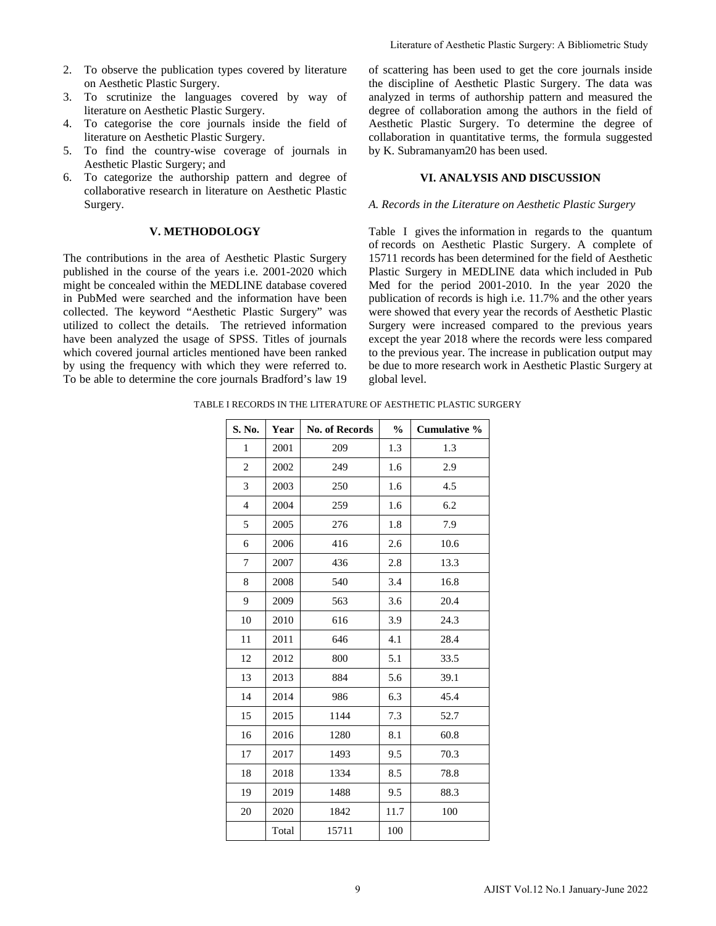- 2. To observe the publication types covered by literature on Aesthetic Plastic Surgery.
- 3. To scrutinize the languages covered by way of literature on Aesthetic Plastic Surgery.
- 4. To categorise the core journals inside the field of literature on Aesthetic Plastic Surgery.
- 5. To find the country-wise coverage of journals in Aesthetic Plastic Surgery; and
- 6. To categorize the authorship pattern and degree of collaborative research in literature on Aesthetic Plastic Surgery.

# **V. METHODOLOGY**

The contributions in the area of Aesthetic Plastic Surgery published in the course of the years i.e. 2001-2020 which might be concealed within the MEDLINE database covered in PubMed were searched and the information have been collected. The keyword "Aesthetic Plastic Surgery" was utilized to collect the details. The retrieved information have been analyzed the usage of SPSS. Titles of journals which covered journal articles mentioned have been ranked by using the frequency with which they were referred to. To be able to determine the core journals Bradford's law 19

#### **VI. ANALYSIS AND DISCUSSION**

#### *A. Records in the Literature on Aesthetic Plastic Surgery*

TABLE I RECORDS IN THE LITERATURE OF AESTHETIC PLASTIC SURGERY

|                      |       |                                                                                                                                                                                                                                                                                                |                             |                                                          | Literature of Aesthetic Plastic Surgery: A Bibliometric Study                                                                                                                                                                                                                                                                                                                                                                                                                                                                                                                                                                                                                     |  |  |  |
|----------------------|-------|------------------------------------------------------------------------------------------------------------------------------------------------------------------------------------------------------------------------------------------------------------------------------------------------|-----------------------------|----------------------------------------------------------|-----------------------------------------------------------------------------------------------------------------------------------------------------------------------------------------------------------------------------------------------------------------------------------------------------------------------------------------------------------------------------------------------------------------------------------------------------------------------------------------------------------------------------------------------------------------------------------------------------------------------------------------------------------------------------------|--|--|--|
| Surgery.<br>Surgery. |       | pes covered by literature<br>es covered by way of<br>mals inside the field of<br>coverage of journals in                                                                                                                                                                                       |                             | by K. Subramanyam20 has been used.                       | of scattering has been used to get the core journals inside<br>the discipline of Aesthetic Plastic Surgery. The data wa<br>analyzed in terms of authorship pattern and measured th<br>degree of collaboration among the authors in the field o<br>Aesthetic Plastic Surgery. To determine the degree o<br>collaboration in quantitative terms, the formula suggested                                                                                                                                                                                                                                                                                                              |  |  |  |
|                      |       | p pattern and degree of<br>ature on Aesthetic Plastic                                                                                                                                                                                                                                          | VI. ANALYSIS AND DISCUSSION |                                                          |                                                                                                                                                                                                                                                                                                                                                                                                                                                                                                                                                                                                                                                                                   |  |  |  |
|                      |       |                                                                                                                                                                                                                                                                                                |                             |                                                          | A. Records in the Literature on Aesthetic Plastic Surgery                                                                                                                                                                                                                                                                                                                                                                                                                                                                                                                                                                                                                         |  |  |  |
| <b>LOGY</b>          |       | Aesthetic Plastic Surgery<br>ars i.e. 2001-2020 which<br><b>EDLINE</b> database covered<br>ne information have been<br>tic Plastic Surgery" was<br>The retrieved information<br>SPSS. Titles of journals<br>ntioned have been ranked<br>ch they were referred to.<br>ournals Bradford's law 19 | global level.               | I RECORDS IN THE LITERATURE OF AESTHETIC PLASTIC SURGERY | Table I gives the information in regards to the quanture<br>of records on Aesthetic Plastic Surgery. A complete o<br>15711 records has been determined for the field of Aestheti<br>Plastic Surgery in MEDLINE data which included in Pul<br>Med for the period 2001-2010. In the year 2020 th<br>publication of records is high i.e. 11.7% and the other year<br>were showed that every year the records of Aesthetic Plasti<br>Surgery were increased compared to the previous year<br>except the year 2018 where the records were less compared<br>to the previous year. The increase in publication output may<br>be due to more research work in Aesthetic Plastic Surgery a |  |  |  |
| S. No.               | Year  | No. of Records                                                                                                                                                                                                                                                                                 | $\%$                        | Cumulative %                                             |                                                                                                                                                                                                                                                                                                                                                                                                                                                                                                                                                                                                                                                                                   |  |  |  |
| 1                    | 2001  | 209                                                                                                                                                                                                                                                                                            | 1.3                         | 1.3                                                      |                                                                                                                                                                                                                                                                                                                                                                                                                                                                                                                                                                                                                                                                                   |  |  |  |
| 2                    | 2002  | 249                                                                                                                                                                                                                                                                                            | 1.6                         | 2.9                                                      |                                                                                                                                                                                                                                                                                                                                                                                                                                                                                                                                                                                                                                                                                   |  |  |  |
| 3                    | 2003  | 250                                                                                                                                                                                                                                                                                            | 1.6                         | 4.5                                                      |                                                                                                                                                                                                                                                                                                                                                                                                                                                                                                                                                                                                                                                                                   |  |  |  |
| 4                    | 2004  | 259                                                                                                                                                                                                                                                                                            | 1.6                         | 6.2                                                      |                                                                                                                                                                                                                                                                                                                                                                                                                                                                                                                                                                                                                                                                                   |  |  |  |
| 5                    | 2005  | 276                                                                                                                                                                                                                                                                                            | 1.8                         | 7.9                                                      |                                                                                                                                                                                                                                                                                                                                                                                                                                                                                                                                                                                                                                                                                   |  |  |  |
| 6                    | 2006  | 416                                                                                                                                                                                                                                                                                            | 2.6                         | 10.6                                                     |                                                                                                                                                                                                                                                                                                                                                                                                                                                                                                                                                                                                                                                                                   |  |  |  |
| $\tau$               | 2007  | 436                                                                                                                                                                                                                                                                                            | 2.8                         | 13.3                                                     |                                                                                                                                                                                                                                                                                                                                                                                                                                                                                                                                                                                                                                                                                   |  |  |  |
| 8                    | 2008  | 540                                                                                                                                                                                                                                                                                            | 3.4                         | 16.8                                                     |                                                                                                                                                                                                                                                                                                                                                                                                                                                                                                                                                                                                                                                                                   |  |  |  |
| 9                    | 2009  | 563                                                                                                                                                                                                                                                                                            | 3.6                         | 20.4                                                     |                                                                                                                                                                                                                                                                                                                                                                                                                                                                                                                                                                                                                                                                                   |  |  |  |
| 10                   | 2010  | 616                                                                                                                                                                                                                                                                                            | 3.9                         | 24.3                                                     |                                                                                                                                                                                                                                                                                                                                                                                                                                                                                                                                                                                                                                                                                   |  |  |  |
| 11                   | 2011  | 646                                                                                                                                                                                                                                                                                            | 4.1                         | 28.4                                                     |                                                                                                                                                                                                                                                                                                                                                                                                                                                                                                                                                                                                                                                                                   |  |  |  |
| 12                   | 2012  | 800                                                                                                                                                                                                                                                                                            | 5.1                         | 33.5                                                     |                                                                                                                                                                                                                                                                                                                                                                                                                                                                                                                                                                                                                                                                                   |  |  |  |
| 13                   | 2013  | 884                                                                                                                                                                                                                                                                                            | 5.6                         | 39.1                                                     |                                                                                                                                                                                                                                                                                                                                                                                                                                                                                                                                                                                                                                                                                   |  |  |  |
| 14                   | 2014  | 986                                                                                                                                                                                                                                                                                            | 6.3                         | 45.4                                                     |                                                                                                                                                                                                                                                                                                                                                                                                                                                                                                                                                                                                                                                                                   |  |  |  |
| 15                   | 2015  | 1144                                                                                                                                                                                                                                                                                           | 7.3                         | 52.7                                                     |                                                                                                                                                                                                                                                                                                                                                                                                                                                                                                                                                                                                                                                                                   |  |  |  |
| 16                   | 2016  | 1280                                                                                                                                                                                                                                                                                           | 8.1                         | 60.8                                                     |                                                                                                                                                                                                                                                                                                                                                                                                                                                                                                                                                                                                                                                                                   |  |  |  |
| 17                   | 2017  | 1493                                                                                                                                                                                                                                                                                           | 9.5                         | 70.3                                                     |                                                                                                                                                                                                                                                                                                                                                                                                                                                                                                                                                                                                                                                                                   |  |  |  |
| 18                   | 2018  | 1334                                                                                                                                                                                                                                                                                           | 8.5                         | 78.8                                                     |                                                                                                                                                                                                                                                                                                                                                                                                                                                                                                                                                                                                                                                                                   |  |  |  |
| 19                   | 2019  | 1488                                                                                                                                                                                                                                                                                           | 9.5                         | 88.3                                                     |                                                                                                                                                                                                                                                                                                                                                                                                                                                                                                                                                                                                                                                                                   |  |  |  |
| 20                   | 2020  | 1842                                                                                                                                                                                                                                                                                           | 11.7                        | 100                                                      |                                                                                                                                                                                                                                                                                                                                                                                                                                                                                                                                                                                                                                                                                   |  |  |  |
|                      | Total | 15711                                                                                                                                                                                                                                                                                          | 100                         |                                                          |                                                                                                                                                                                                                                                                                                                                                                                                                                                                                                                                                                                                                                                                                   |  |  |  |
|                      |       | 9                                                                                                                                                                                                                                                                                              |                             |                                                          | AJIST Vol.12 No.1 January-June 2022                                                                                                                                                                                                                                                                                                                                                                                                                                                                                                                                                                                                                                               |  |  |  |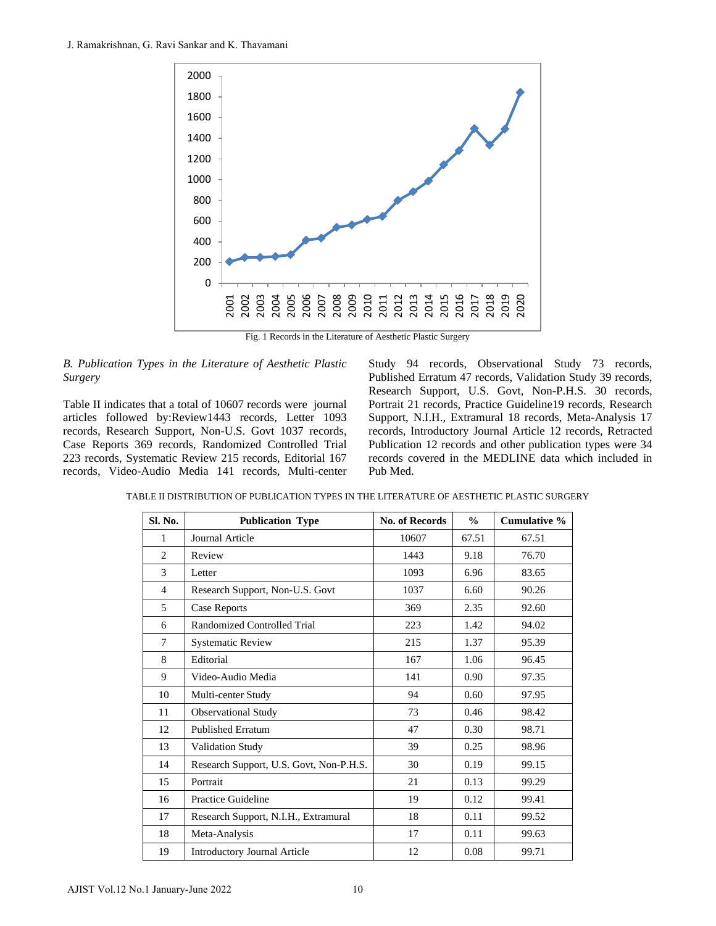

Fig. 1 Records in the Literature of Aesthetic Plastic Surgery

#### *B. Publication Types in the Literature of Aesthetic Plastic Surgery*

Study 94 records, Observational Study 73 records, Published Erratum 47 records, Validation Study 39 records, Research Support, U.S. Govt, Non-P.H.S. 30 records, Portrait 21 records, Practice Guideline19 records, Research Support, N.I.H., Extramural 18 records, Meta-Analysis 17 records, Introductory Journal Article 12 records, Retracted Publication 12 records and other publication types were 34 records covered in the MEDLINE data which included in Pub Med.

|--|

|        |              | 2000                                                                                                                                                                                                                              |                                                                                                                                                  |               |                |
|--------|--------------|-----------------------------------------------------------------------------------------------------------------------------------------------------------------------------------------------------------------------------------|--------------------------------------------------------------------------------------------------------------------------------------------------|---------------|----------------|
|        |              | 1800                                                                                                                                                                                                                              |                                                                                                                                                  |               |                |
|        |              | 1600                                                                                                                                                                                                                              |                                                                                                                                                  |               |                |
|        |              |                                                                                                                                                                                                                                   |                                                                                                                                                  |               |                |
|        |              | 1400                                                                                                                                                                                                                              |                                                                                                                                                  |               |                |
|        |              | 1200                                                                                                                                                                                                                              |                                                                                                                                                  |               |                |
|        |              | 1000                                                                                                                                                                                                                              |                                                                                                                                                  |               |                |
|        |              | 800                                                                                                                                                                                                                               |                                                                                                                                                  |               |                |
|        |              | 600                                                                                                                                                                                                                               |                                                                                                                                                  |               |                |
|        |              | 400                                                                                                                                                                                                                               |                                                                                                                                                  |               |                |
|        |              | 200                                                                                                                                                                                                                               |                                                                                                                                                  |               |                |
|        |              | 0                                                                                                                                                                                                                                 |                                                                                                                                                  |               |                |
|        |              |                                                                                                                                                                                                                                   |                                                                                                                                                  |               |                |
|        |              | Fig. 1 Records in the Literature of Aesthetic Plastic Surgery                                                                                                                                                                     |                                                                                                                                                  |               |                |
| urgery |              | 3. Publication Types in the Literature of Aesthetic Plastic                                                                                                                                                                       | Study 94 records, Observational Stud<br>Published Erratum 47 records, Validation S                                                               |               |                |
|        |              | Table II indicates that a total of 10607 records were journal<br>rticles followed by:Review1443 records, Letter 1093                                                                                                              | Research Support, U.S. Govt, Non-P.H<br>Portrait 21 records, Practice Guideline19 re<br>Support, N.I.H., Extramural 18 records, M.               |               |                |
|        |              | ecords, Research Support, Non-U.S. Govt 1037 records,<br>Case Reports 369 records, Randomized Controlled Trial<br>23 records, Systematic Review 215 records, Editorial 167<br>ecords, Video-Audio Media 141 records, Multi-center | records, Introductory Journal Article 12 re<br>Publication 12 records and other publicatio<br>records covered in the MEDLINE data wl<br>Pub Med. |               |                |
|        |              | TABLE II DISTRIBUTION OF PUBLICATION TYPES IN THE LITERATURE OF AESTHETIC PLASTIC SURGE                                                                                                                                           |                                                                                                                                                  |               |                |
|        | Sl. No.<br>1 | <b>Publication Type</b>                                                                                                                                                                                                           | No. of Records<br>10607                                                                                                                          | $\%$          | Cumulative %   |
|        | 2            | Journal Article<br>Review                                                                                                                                                                                                         | 1443                                                                                                                                             | 67.51<br>9.18 | 67.51          |
|        | 3            |                                                                                                                                                                                                                                   | 1093                                                                                                                                             |               | 76.70          |
|        | 4            | Letter<br>Research Support, Non-U.S. Govt                                                                                                                                                                                         | 1037                                                                                                                                             | 6.96<br>6.60  | 83.65<br>90.26 |
|        | 5            | <b>Case Reports</b>                                                                                                                                                                                                               | 369                                                                                                                                              | 2.35          | 92.60          |
|        | 6            | Randomized Controlled Trial                                                                                                                                                                                                       | 223                                                                                                                                              | 1.42          | 94.02          |
|        | 7            | <b>Systematic Review</b>                                                                                                                                                                                                          | 215                                                                                                                                              | 1.37          | 95.39          |
|        | 8            | Editorial                                                                                                                                                                                                                         | 167                                                                                                                                              | 1.06          | 96.45          |
|        | 9            | Video-Audio Media                                                                                                                                                                                                                 | 141                                                                                                                                              | 0.90          | 97.35          |
|        | 10           | Multi-center Study                                                                                                                                                                                                                | 94                                                                                                                                               | 0.60          | 97.95          |
|        | 11           | Observational Study                                                                                                                                                                                                               | 73                                                                                                                                               | 0.46          | 98.42          |
|        | 12           | Published Erratum                                                                                                                                                                                                                 | 47                                                                                                                                               | 0.30          | 98.71          |
|        | 13           | Validation Study                                                                                                                                                                                                                  | 39                                                                                                                                               | 0.25          | 98.96          |
|        | 14           | Research Support, U.S. Govt, Non-P.H.S.                                                                                                                                                                                           | 30                                                                                                                                               | 0.19          | 99.15          |
|        | 15           | Portrait                                                                                                                                                                                                                          | 21                                                                                                                                               | 0.13          | 99.29          |
|        | 16           | Practice Guideline                                                                                                                                                                                                                | 19                                                                                                                                               | 0.12          | 99.41          |
|        | 17           | Research Support, N.I.H., Extramural                                                                                                                                                                                              | 18                                                                                                                                               | 0.11          | 99.52          |
|        | 18           | Meta-Analysis                                                                                                                                                                                                                     | 17                                                                                                                                               | 0.11          | 99.63          |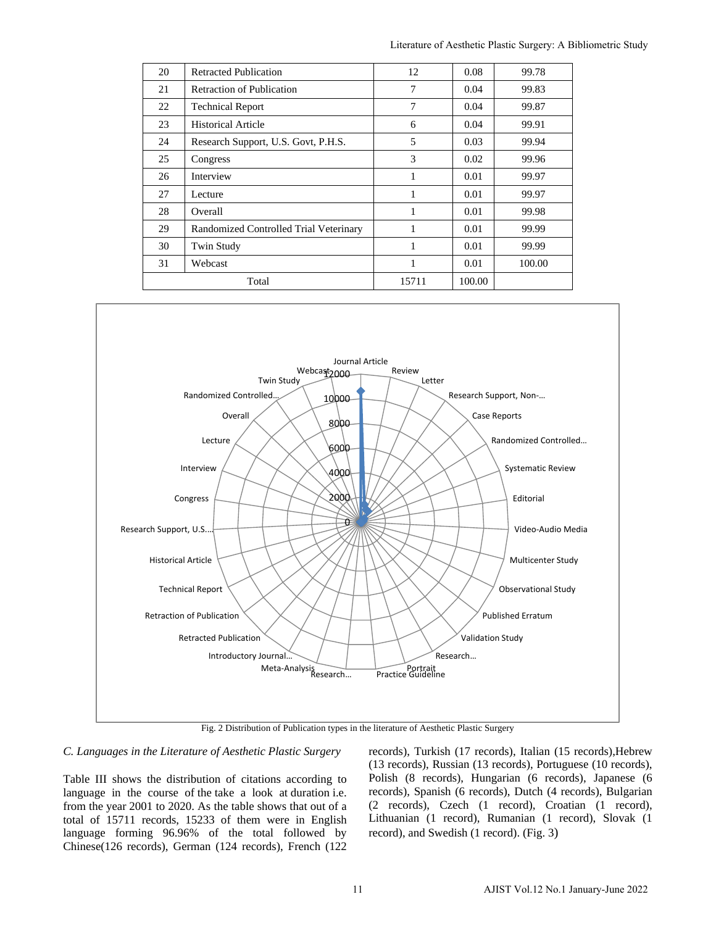| 20 | <b>Retracted Publication</b>           | 12    | 0.08   | 99.78  |
|----|----------------------------------------|-------|--------|--------|
| 21 | <b>Retraction of Publication</b>       | 7     | 0.04   | 99.83  |
| 22 | <b>Technical Report</b>                | 7     | 0.04   | 99.87  |
| 23 | <b>Historical Article</b>              | 6     | 0.04   | 99.91  |
| 24 | Research Support, U.S. Govt, P.H.S.    | 5     | 0.03   | 99.94  |
| 25 | Congress                               | 3     | 0.02   | 99.96  |
| 26 | Interview                              | 1     | 0.01   | 99.97  |
| 27 | Lecture                                | 1     | 0.01   | 99.97  |
| 28 | Overall                                | 1     | 0.01   | 99.98  |
| 29 | Randomized Controlled Trial Veterinary | 1     | 0.01   | 99.99  |
| 30 | Twin Study                             |       | 0.01   | 99.99  |
| 31 | Webcast                                | 1     | 0.01   | 100.00 |
|    | Total                                  | 15711 | 100.00 |        |



Fig. 2 Distribution of Publication types in the literature of Aesthetic Plastic Surgery

# *C. Languages in the Literature of Aesthetic Plastic Surgery*

Table III shows the distribution of citations according to language in the course of the take a look at duration i.e. from the year 2001 to 2020. As the table shows that out of a total of 15711 records, 15233 of them were in English language forming 96.96% of the total followed by Chinese(126 records), German (124 records), French (122 records), Turkish (17 records), Italian (15 records),Hebrew (13 records), Russian (13 records), Portuguese (10 records), Polish (8 records), Hungarian (6 records), Japanese (6 records), Spanish (6 records), Dutch (4 records), Bulgarian (2 records), Czech (1 record), Croatian (1 record), Lithuanian (1 record), Rumanian (1 record), Slovak (1 record), and Swedish (1 record). (Fig. 3)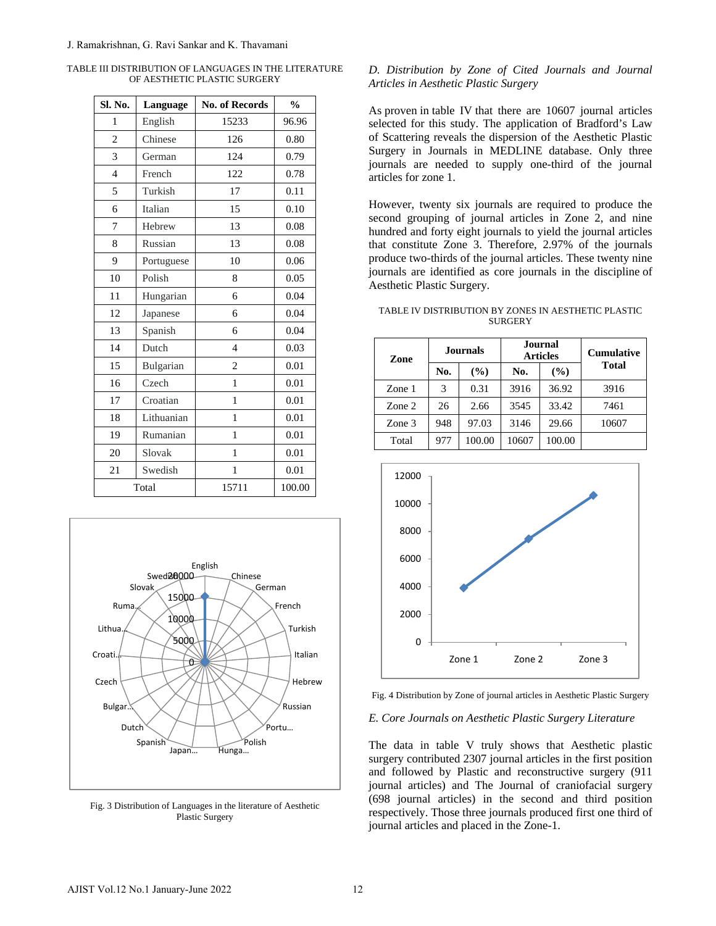| Sl. No.                                                  | Language                                                               | No. of Records                                                  | $\frac{0}{0}$                                              |
|----------------------------------------------------------|------------------------------------------------------------------------|-----------------------------------------------------------------|------------------------------------------------------------|
| 1                                                        | English                                                                | 15233                                                           | 96.96                                                      |
| 2                                                        | Chinese                                                                | 126                                                             | 0.80                                                       |
| 3                                                        | German                                                                 | 124                                                             | 0.79                                                       |
| $\overline{4}$                                           | French                                                                 | 122                                                             | 0.78                                                       |
| 5                                                        | Turkish                                                                | 17                                                              | 0.11                                                       |
| 6                                                        | Italian                                                                | 15                                                              | 0.10                                                       |
| 7                                                        | Hebrew                                                                 | 13                                                              | 0.08                                                       |
| 8                                                        | Russian                                                                | 13                                                              | 0.08                                                       |
| 9                                                        | Portuguese                                                             | 10                                                              | 0.06                                                       |
| 10                                                       | Polish                                                                 | 8                                                               | 0.05                                                       |
| 11                                                       | Hungarian                                                              | 6                                                               | 0.04                                                       |
| 12                                                       | Japanese                                                               | 6                                                               | 0.04                                                       |
| 13                                                       | Spanish                                                                | 6                                                               | 0.04                                                       |
| 14                                                       | Dutch                                                                  | 4                                                               | 0.03                                                       |
| 15                                                       | Bulgarian                                                              | $\overline{c}$                                                  | 0.01                                                       |
| 16                                                       | Czech                                                                  | 1                                                               | 0.01                                                       |
| 17                                                       | Croatian                                                               | 1                                                               | 0.01                                                       |
| 18                                                       | Lithuanian                                                             | 1                                                               | 0.01                                                       |
| 19                                                       | Rumanian                                                               | $\mathbf{1}$                                                    | 0.01                                                       |
| 20                                                       | Slovak                                                                 | 1                                                               | 0.01                                                       |
| 21                                                       | Swedish                                                                | 1                                                               | 0.01                                                       |
|                                                          | Total                                                                  | 15711                                                           | 100.00                                                     |
| Ruma.<br>Lithua.<br>Croati.<br>Czech<br>Bulgar.<br>Dutch | Swed20000<br>Slovak<br>15000<br>10000<br>2000<br>0<br>Spanish<br>Japan | English<br>Chinese<br>German<br>Polish<br>Hunga                 | French<br>Turkish<br>Italian<br>Hebrew<br>Russian<br>Portu |
|                                                          |                                                                        | Fig. 3 Distribution of Languages in the literature of Aesthetic |                                                            |

TABLE III DISTRIBUTION OF LANGUAGES IN THE LITERATURE OF AESTHETIC PLASTIC SURGERY



Fig. 3 Distribution of Languages in the literature of Aesthetic Plastic Surgery

# *D. Distribution by Zone of Cited Journals and Journal Articles in Aesthetic Plastic Surgery*

As proven in table IV that there are 10607 journal articles selected for this study. The application of Bradford's Law of Scattering reveals the dispersion of the Aesthetic Plastic Surgery in Journals in MEDLINE database. Only three journals are needed to supply one-third of the journal articles for zone 1.

However, twenty six journals are required to produce the second grouping of journal articles in Zone 2, and nine hundred and forty eight journals to yield the journal articles that constitute Zone 3. Therefore, 2.97% of the journals produce two-thirds of the journal articles. These twenty nine journals are identified as core journals in the discipline of Aesthetic Plastic Surgery.

TABLE IV DISTRIBUTION BY ZONES IN AESTHETIC PLASTIC **SURGERY** 

| Zone   | <b>Journals</b> |        |       | Journal<br><b>Articles</b> | <b>Cumulative</b> |  |
|--------|-----------------|--------|-------|----------------------------|-------------------|--|
|        | No.             | (%)    | No.   | $($ %)                     | <b>Total</b>      |  |
| Zone 1 | 3               | 0.31   | 3916  | 36.92                      | 3916              |  |
| Zone 2 | 26              | 2.66   | 3545  | 33.42                      | 7461              |  |
| Zone 3 | 948             | 97.03  | 3146  | 29.66                      | 10607             |  |
| Total  | 977             | 100.00 | 10607 | 100.00                     |                   |  |



Fig. 4 Distribution by Zone of journal articles in Aesthetic Plastic Surgery

#### *E. Core Journals on Aesthetic Plastic Surgery Literature*

The data in table V truly shows that Aesthetic plastic surgery contributed 2307 journal articles in the first position and followed by Plastic and reconstructive surgery (911 journal articles) and The Journal of craniofacial surgery (698 journal articles) in the second and third position respectively. Those three journals produced first one third of journal articles and placed in the Zone-1.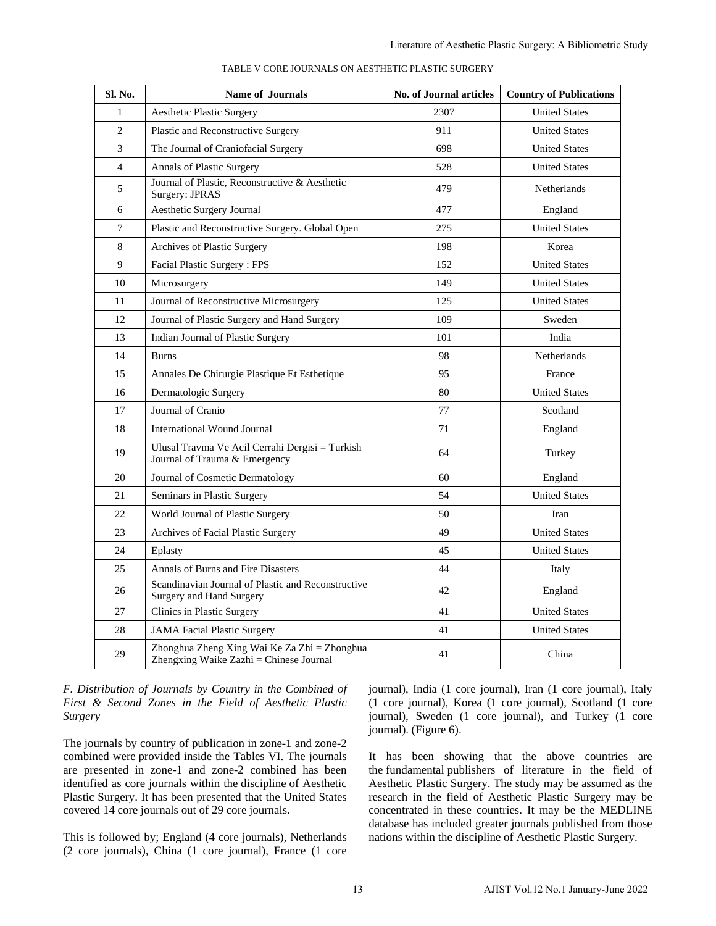| Sl. No.         | <b>Name of Journals</b>                                                                                                                                                                                                                                                                                                                                                                                                                                                                                                                                             | No. of Journal articles                                                                                                                                                                                                                                                                                                                                                                                                                                                                                                                                                                                                                     | <b>Country of Publications</b>      |
|-----------------|---------------------------------------------------------------------------------------------------------------------------------------------------------------------------------------------------------------------------------------------------------------------------------------------------------------------------------------------------------------------------------------------------------------------------------------------------------------------------------------------------------------------------------------------------------------------|---------------------------------------------------------------------------------------------------------------------------------------------------------------------------------------------------------------------------------------------------------------------------------------------------------------------------------------------------------------------------------------------------------------------------------------------------------------------------------------------------------------------------------------------------------------------------------------------------------------------------------------------|-------------------------------------|
| 1               | <b>Aesthetic Plastic Surgery</b>                                                                                                                                                                                                                                                                                                                                                                                                                                                                                                                                    | 2307                                                                                                                                                                                                                                                                                                                                                                                                                                                                                                                                                                                                                                        | <b>United States</b>                |
| 2               | Plastic and Reconstructive Surgery                                                                                                                                                                                                                                                                                                                                                                                                                                                                                                                                  | 911                                                                                                                                                                                                                                                                                                                                                                                                                                                                                                                                                                                                                                         | <b>United States</b>                |
| 3               | The Journal of Craniofacial Surgery                                                                                                                                                                                                                                                                                                                                                                                                                                                                                                                                 | 698                                                                                                                                                                                                                                                                                                                                                                                                                                                                                                                                                                                                                                         | <b>United States</b>                |
| $\overline{4}$  | Annals of Plastic Surgery                                                                                                                                                                                                                                                                                                                                                                                                                                                                                                                                           | 528                                                                                                                                                                                                                                                                                                                                                                                                                                                                                                                                                                                                                                         | <b>United States</b>                |
| 5               | Journal of Plastic, Reconstructive & Aesthetic<br>Surgery: JPRAS                                                                                                                                                                                                                                                                                                                                                                                                                                                                                                    | 479                                                                                                                                                                                                                                                                                                                                                                                                                                                                                                                                                                                                                                         | <b>Netherlands</b>                  |
| 6               | Aesthetic Surgery Journal                                                                                                                                                                                                                                                                                                                                                                                                                                                                                                                                           | 477                                                                                                                                                                                                                                                                                                                                                                                                                                                                                                                                                                                                                                         | England                             |
| $7\phantom{.0}$ | Plastic and Reconstructive Surgery. Global Open                                                                                                                                                                                                                                                                                                                                                                                                                                                                                                                     | 275                                                                                                                                                                                                                                                                                                                                                                                                                                                                                                                                                                                                                                         | <b>United States</b>                |
| 8               | Archives of Plastic Surgery                                                                                                                                                                                                                                                                                                                                                                                                                                                                                                                                         | 198                                                                                                                                                                                                                                                                                                                                                                                                                                                                                                                                                                                                                                         | Korea                               |
| 9               | Facial Plastic Surgery: FPS                                                                                                                                                                                                                                                                                                                                                                                                                                                                                                                                         | 152                                                                                                                                                                                                                                                                                                                                                                                                                                                                                                                                                                                                                                         | <b>United States</b>                |
| 10              | Microsurgery                                                                                                                                                                                                                                                                                                                                                                                                                                                                                                                                                        | 149                                                                                                                                                                                                                                                                                                                                                                                                                                                                                                                                                                                                                                         | <b>United States</b>                |
| 11              | Journal of Reconstructive Microsurgery                                                                                                                                                                                                                                                                                                                                                                                                                                                                                                                              | 125                                                                                                                                                                                                                                                                                                                                                                                                                                                                                                                                                                                                                                         | <b>United States</b>                |
| 12              | Journal of Plastic Surgery and Hand Surgery                                                                                                                                                                                                                                                                                                                                                                                                                                                                                                                         | 109                                                                                                                                                                                                                                                                                                                                                                                                                                                                                                                                                                                                                                         | Sweden                              |
| 13              | Indian Journal of Plastic Surgery                                                                                                                                                                                                                                                                                                                                                                                                                                                                                                                                   | 101                                                                                                                                                                                                                                                                                                                                                                                                                                                                                                                                                                                                                                         | India                               |
| 14              | <b>Burns</b>                                                                                                                                                                                                                                                                                                                                                                                                                                                                                                                                                        | 98                                                                                                                                                                                                                                                                                                                                                                                                                                                                                                                                                                                                                                          | Netherlands                         |
| 15              | Annales De Chirurgie Plastique Et Esthetique                                                                                                                                                                                                                                                                                                                                                                                                                                                                                                                        | 95                                                                                                                                                                                                                                                                                                                                                                                                                                                                                                                                                                                                                                          | France                              |
| 16              | Dermatologic Surgery                                                                                                                                                                                                                                                                                                                                                                                                                                                                                                                                                | 80                                                                                                                                                                                                                                                                                                                                                                                                                                                                                                                                                                                                                                          | <b>United States</b>                |
| 17              | Journal of Cranio                                                                                                                                                                                                                                                                                                                                                                                                                                                                                                                                                   | 77                                                                                                                                                                                                                                                                                                                                                                                                                                                                                                                                                                                                                                          | Scotland                            |
| 18              | International Wound Journal                                                                                                                                                                                                                                                                                                                                                                                                                                                                                                                                         | 71                                                                                                                                                                                                                                                                                                                                                                                                                                                                                                                                                                                                                                          | England                             |
| 19              | Ulusal Travma Ve Acil Cerrahi Dergisi = Turkish<br>Journal of Trauma & Emergency                                                                                                                                                                                                                                                                                                                                                                                                                                                                                    | 64                                                                                                                                                                                                                                                                                                                                                                                                                                                                                                                                                                                                                                          | Turkey                              |
| 20              | Journal of Cosmetic Dermatology                                                                                                                                                                                                                                                                                                                                                                                                                                                                                                                                     | 60                                                                                                                                                                                                                                                                                                                                                                                                                                                                                                                                                                                                                                          | England                             |
| 21              | Seminars in Plastic Surgery                                                                                                                                                                                                                                                                                                                                                                                                                                                                                                                                         | 54                                                                                                                                                                                                                                                                                                                                                                                                                                                                                                                                                                                                                                          | <b>United States</b>                |
| 22              | World Journal of Plastic Surgery                                                                                                                                                                                                                                                                                                                                                                                                                                                                                                                                    | 50                                                                                                                                                                                                                                                                                                                                                                                                                                                                                                                                                                                                                                          | Iran                                |
| 23              | Archives of Facial Plastic Surgery                                                                                                                                                                                                                                                                                                                                                                                                                                                                                                                                  | 49                                                                                                                                                                                                                                                                                                                                                                                                                                                                                                                                                                                                                                          | <b>United States</b>                |
| 24              | Eplasty                                                                                                                                                                                                                                                                                                                                                                                                                                                                                                                                                             | 45                                                                                                                                                                                                                                                                                                                                                                                                                                                                                                                                                                                                                                          | <b>United States</b>                |
| 25              | Annals of Burns and Fire Disasters                                                                                                                                                                                                                                                                                                                                                                                                                                                                                                                                  | 44                                                                                                                                                                                                                                                                                                                                                                                                                                                                                                                                                                                                                                          | Italy                               |
| 26              | Scandinavian Journal of Plastic and Reconstructive<br>Surgery and Hand Surgery                                                                                                                                                                                                                                                                                                                                                                                                                                                                                      | 42                                                                                                                                                                                                                                                                                                                                                                                                                                                                                                                                                                                                                                          | England                             |
| 27              | Clinics in Plastic Surgery                                                                                                                                                                                                                                                                                                                                                                                                                                                                                                                                          | 41                                                                                                                                                                                                                                                                                                                                                                                                                                                                                                                                                                                                                                          | <b>United States</b>                |
| 28              | <b>JAMA Facial Plastic Surgery</b>                                                                                                                                                                                                                                                                                                                                                                                                                                                                                                                                  | 41                                                                                                                                                                                                                                                                                                                                                                                                                                                                                                                                                                                                                                          | <b>United States</b>                |
| 29              | Zhonghua Zheng Xing Wai Ke Za Zhi = Zhonghua<br>Zhengxing Waike Zazhi = Chinese Journal                                                                                                                                                                                                                                                                                                                                                                                                                                                                             | 41                                                                                                                                                                                                                                                                                                                                                                                                                                                                                                                                                                                                                                          | China                               |
|                 | tribution of Journals by Country in the Combined of<br>& Second Zones in the Field of Aesthetic Plastic<br>urnals by country of publication in zone-1 and zone-2<br>ned were provided inside the Tables VI. The journals<br>resented in zone-1 and zone-2 combined has been<br>fied as core journals within the discipline of Aesthetic<br>: Surgery. It has been presented that the United States<br>ed 14 core journals out of 29 core journals.<br>s followed by; England (4 core journals), Netherlands<br>re journals), China (1 core journal), France (1 core | journal), India (1 core journal), Iran (1 core journal), Ital<br>(1 core journal), Korea (1 core journal), Scotland (1 cor<br>journal), Sweden (1 core journal), and Turkey (1 cor<br>journal). (Figure 6).<br>It has been showing that the above countries are<br>the fundamental publishers of literature in the field of<br>Aesthetic Plastic Surgery. The study may be assumed as th<br>research in the field of Aesthetic Plastic Surgery may b<br>concentrated in these countries. It may be the MEDLINI<br>database has included greater journals published from thos<br>nations within the discipline of Aesthetic Plastic Surgery. |                                     |
|                 |                                                                                                                                                                                                                                                                                                                                                                                                                                                                                                                                                                     |                                                                                                                                                                                                                                                                                                                                                                                                                                                                                                                                                                                                                                             |                                     |
|                 | 13                                                                                                                                                                                                                                                                                                                                                                                                                                                                                                                                                                  |                                                                                                                                                                                                                                                                                                                                                                                                                                                                                                                                                                                                                                             | AJIST Vol.12 No.1 January-June 2022 |

TABLE V CORE JOURNALS ON AESTHETIC PLASTIC SURGERY

*F. Distribution of Journals by Country in the Combined of First & Second Zones in the Field of Aesthetic Plastic Surgery*

The journals by country of publication in zone-1 and zone-2 combined were provided inside the Tables VI. The journals are presented in zone-1 and zone-2 combined has been identified as core journals within the discipline of Aesthetic Plastic Surgery. It has been presented that the United States covered 14 core journals out of 29 core journals.

This is followed by; England (4 core journals), Netherlands (2 core journals), China (1 core journal), France (1 core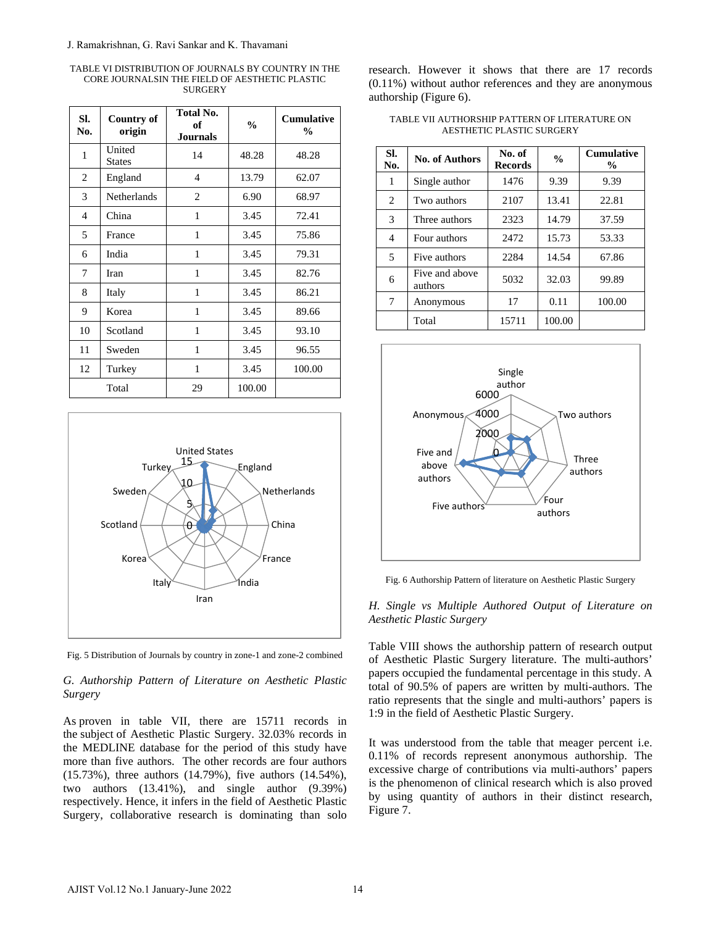TABLE VI DISTRIBUTION OF JOURNALS BY COUNTRY IN THE CORE JOURNALSIN THE FIELD OF AESTHETIC PLASTIC SURGERY

| SI.<br>No.                   | <b>Country of</b><br>origin | <b>Total No.</b><br>оf<br><b>Journals</b> | $\frac{0}{0}$                                            | Cumulative<br>$\frac{0}{0}$                                                                                                                                                                                                                              |
|------------------------------|-----------------------------|-------------------------------------------|----------------------------------------------------------|----------------------------------------------------------------------------------------------------------------------------------------------------------------------------------------------------------------------------------------------------------|
| United<br>1<br><b>States</b> |                             | 14                                        | 48.28                                                    | 48.28                                                                                                                                                                                                                                                    |
| 2<br>England                 |                             | 4                                         | 13.79                                                    | 62.07                                                                                                                                                                                                                                                    |
| 3                            | Netherlands                 | 2                                         | 6.90                                                     | 68.97                                                                                                                                                                                                                                                    |
| 4<br>China                   |                             | 1                                         | 3.45                                                     | 72.41                                                                                                                                                                                                                                                    |
| 5<br>France                  |                             | 1                                         | 3.45                                                     | 75.86                                                                                                                                                                                                                                                    |
| India<br>6                   |                             | 1                                         | 3.45                                                     | 79.31                                                                                                                                                                                                                                                    |
| Iran<br>7                    |                             | 1                                         | 3.45                                                     | 82.76                                                                                                                                                                                                                                                    |
| 8<br>Italy                   |                             | 1                                         | 3.45                                                     | 86.21                                                                                                                                                                                                                                                    |
| 9<br>Korea                   |                             | 1                                         | 3.45                                                     | 89.66                                                                                                                                                                                                                                                    |
| 10                           | Scotland                    | 1                                         | 3.45                                                     | 93.10                                                                                                                                                                                                                                                    |
| Sweden<br>11                 |                             | 1                                         | 3.45                                                     | 96.55                                                                                                                                                                                                                                                    |
| 12<br>Turkey                 |                             | 1                                         | 3.45                                                     | 100.00                                                                                                                                                                                                                                                   |
| Total                        |                             | 29                                        | 100.00                                                   |                                                                                                                                                                                                                                                          |
|                              | Korea<br>Italy              |                                           | Índia                                                    | France                                                                                                                                                                                                                                                   |
|                              |                             | Iran                                      |                                                          |                                                                                                                                                                                                                                                          |
| Surgery                      |                             |                                           |                                                          | Fig. 5 Distribution of Journals by country in zone-1 and zone-2 combined<br>G. Authorship Pattern of Literature on Aesthetic Plastic<br>As proven in table VII, there are 15711 records in<br>he subject of Aesthetic Plastic Surgery. 32.03% records in |
|                              |                             |                                           | (15.73%), three authors (14.79%), five authors (14.54%), | he MEDLINE database for the period of this study have<br>nore than five authors. The other records are four authors                                                                                                                                      |



Fig. 5 Distribution of Journals by country in zone-1 and zone-2 combined

# *G. Authorship Pattern of Literature on Aesthetic Plastic Surgery*

research. However it shows that there are 17 records (0.11%) without author references and they are anonymous authorship (Figure 6).

| TABLE VII AUTHORSHIP PATTERN OF LITERATURE ON |
|-----------------------------------------------|
| AESTHETIC PLASTIC SURGERY                     |

| SI.<br>No. | <b>No. of Authors</b>     | No. of<br><b>Records</b> | $\frac{0}{0}$ | <b>Cumulative</b><br>$\frac{0}{0}$ |
|------------|---------------------------|--------------------------|---------------|------------------------------------|
| 1          | Single author             | 1476                     | 9.39          | 9.39                               |
| 2          | Two authors               | 2107                     | 13.41         | 22.81                              |
| 3          | Three authors             | 2323                     | 14.79         | 37.59                              |
| 4          | Four authors              | 2472                     | 15.73         | 53.33                              |
| 5          | Five authors              | 2284                     | 14.54         | 67.86                              |
| 6          | Five and above<br>authors | 5032                     | 32.03         | 99.89                              |
| 7          | Anonymous                 | 17                       | 0.11          | 100.00                             |
|            | Total                     | 15711                    | 100.00        |                                    |



Fig. 6 Authorship Pattern of literature on Aesthetic Plastic Surgery

*H. Single vs Multiple Authored Output of Literature on Aesthetic Plastic Surgery*

Table VIII shows the authorship pattern of research output of Aesthetic Plastic Surgery literature. The multi-authors' papers occupied the fundamental percentage in this study. A total of 90.5% of papers are written by multi-authors. The ratio represents that the single and multi-authors' papers is 1:9 in the field of Aesthetic Plastic Surgery.

It was understood from the table that meager percent i.e. 0.11% of records represent anonymous authorship. The excessive charge of contributions via multi-authors' papers is the phenomenon of clinical research which is also proved by using quantity of authors in their distinct research, Figure 7.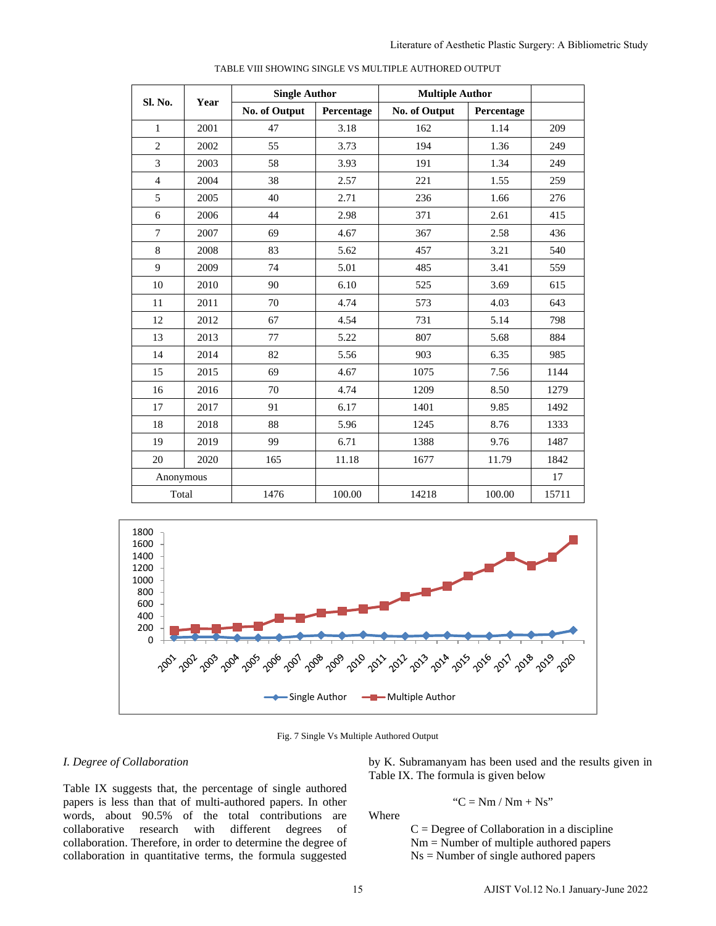|                                                               |           | <b>Single Author</b>                                                                                                   |                                       | <b>Multiple Author</b>                                                                           |                                         |                                                                                            |
|---------------------------------------------------------------|-----------|------------------------------------------------------------------------------------------------------------------------|---------------------------------------|--------------------------------------------------------------------------------------------------|-----------------------------------------|--------------------------------------------------------------------------------------------|
| Sl. No.                                                       | Year      | No. of Output                                                                                                          | Percentage                            | No. of Output                                                                                    | Percentage                              |                                                                                            |
| $\mathbf{1}$                                                  | 2001      | 47                                                                                                                     | 3.18                                  | 162                                                                                              | 1.14                                    | 209                                                                                        |
| $\overline{2}$                                                | 2002      | 55                                                                                                                     | 3.73                                  | 194                                                                                              | 1.36                                    | 249                                                                                        |
| 3                                                             | 2003      | 58                                                                                                                     | 3.93                                  | 191                                                                                              | 1.34                                    | 249                                                                                        |
| $\overline{4}$                                                | 2004      | 38                                                                                                                     | 2.57                                  | 221                                                                                              | 1.55                                    | 259                                                                                        |
| 5                                                             | 2005      | 40                                                                                                                     | 2.71                                  | 236                                                                                              | 1.66                                    | 276                                                                                        |
| 6                                                             | 2006      | 44                                                                                                                     | 2.98                                  | 371                                                                                              | 2.61                                    | 415                                                                                        |
| $\tau$                                                        | 2007      | 69                                                                                                                     | 4.67                                  | 367                                                                                              | 2.58                                    | 436                                                                                        |
| 8                                                             | 2008      | 83                                                                                                                     | 5.62                                  | 457                                                                                              | 3.21                                    | 540                                                                                        |
| 9                                                             | 2009      | 74                                                                                                                     | 5.01                                  | 485                                                                                              | 3.41                                    | 559                                                                                        |
| 10                                                            | 2010      | 90                                                                                                                     | 6.10                                  | 525                                                                                              | 3.69                                    | 615                                                                                        |
| 11                                                            | 2011      | 70                                                                                                                     | 4.74                                  | 573                                                                                              | 4.03                                    | 643                                                                                        |
| 12                                                            | 2012      | 67                                                                                                                     | 4.54                                  | 731                                                                                              | 5.14                                    | 798                                                                                        |
| 13                                                            | 2013      | 77                                                                                                                     | 5.22                                  | 807                                                                                              | 5.68                                    | 884                                                                                        |
| 14                                                            | 2014      | 82                                                                                                                     | 5.56                                  | 903                                                                                              | 6.35                                    | 985                                                                                        |
| 15                                                            | 2015      | 69                                                                                                                     | 4.67                                  | 1075                                                                                             | 7.56                                    | 1144                                                                                       |
| 16                                                            | 2016      | 70                                                                                                                     | 4.74                                  | 1209                                                                                             | 8.50                                    | 1279                                                                                       |
| 17                                                            | 2017      | 91                                                                                                                     | 6.17                                  | 1401                                                                                             | 9.85                                    | 1492                                                                                       |
| $18\,$                                                        | 2018      | 88                                                                                                                     | 5.96                                  | 1245                                                                                             | 8.76                                    | 1333                                                                                       |
| 19                                                            | 2019      | 99                                                                                                                     | 6.71                                  | 1388                                                                                             | 9.76                                    | 1487                                                                                       |
| $20\,$                                                        | 2020      | 165                                                                                                                    | 11.18                                 | 1677                                                                                             | 11.79                                   | 1842                                                                                       |
|                                                               | Anonymous |                                                                                                                        |                                       |                                                                                                  |                                         | 17                                                                                         |
| Total                                                         |           | 1476                                                                                                                   | 100.00                                | 14218                                                                                            | 100.00                                  | 15711                                                                                      |
| 1600<br>1400<br>1200<br>1000<br>800<br>600<br>400<br>200<br>0 | 2004      | 2006<br>2007<br>2005                                                                                                   | 2008 2019 2019 2012<br>-Single Author | -Multiple Author                                                                                 | $\gamma$                                |                                                                                            |
|                                                               |           |                                                                                                                        |                                       | Fig. 7 Single Vs Multiple Authored Output                                                        |                                         |                                                                                            |
| 'ollaboration                                                 |           | gests that, the percentage of single authored                                                                          |                                       | by K. Subramanyam has been used and the results given in<br>Table IX. The formula is given below |                                         |                                                                                            |
|                                                               |           | than that of multi-authored papers. In other<br>90.5% of the total contributions                                       | are                                   | Where                                                                                            | " $C = Nm / Nm + Ns$ "                  |                                                                                            |
| research                                                      | with      | different<br>degrees<br>Therefore, in order to determine the degree of<br>in quantitative terms, the formula suggested | of                                    |                                                                                                  | $Ns =$ Number of single authored papers | $C =$ Degree of Collaboration in a discipline<br>$Nm = Number of multiple authored papers$ |



Fig. 7 Single Vs Multiple Authored Output

#### *I. Degree of Collaboration*

Table IX suggests that, the percentage of single authored papers is less than that of multi-authored papers. In other words, about 90.5% of the total contributions are collaborative research with different degrees of collaboration. Therefore, in order to determine the degree of collaboration in quantitative terms, the formula suggested

$$
C = Nm / Nm + Ns
$$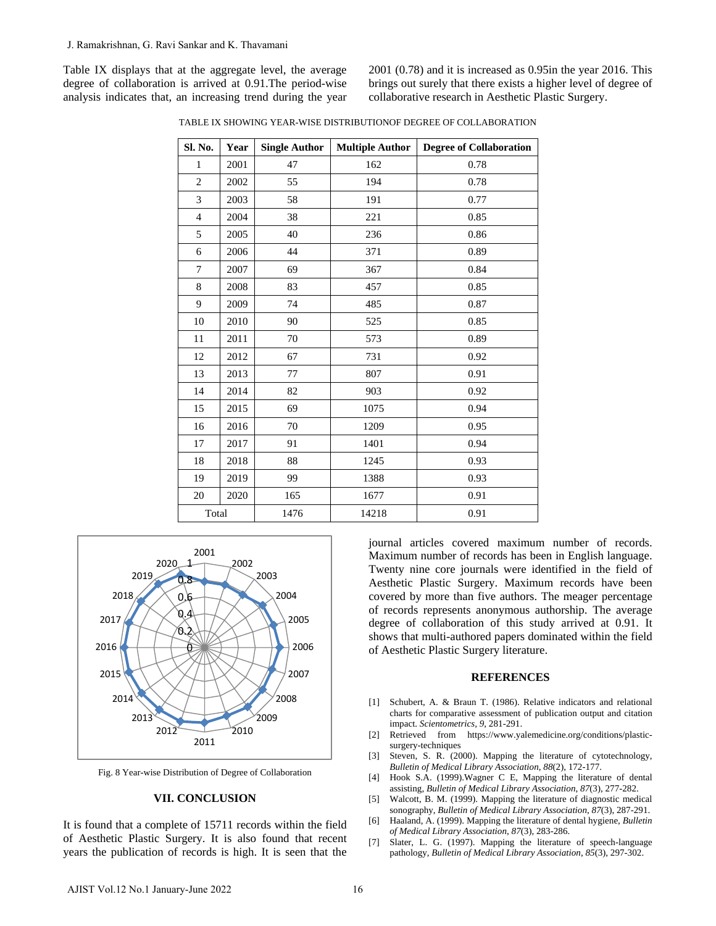2001 (0.78) and it is increased as 0.95in the year 2016. This brings out surely that there exists a higher level of degree of collaborative research in Aesthetic Plastic Surgery.

| J. Ramakrishnan, G. Ravi Sankar and K. Thavamani                                                                                                                                                                                   |                                                    |      |                              |                                                                             |                                                                                                                                                                                                                                                                                                                                                                                                                                                               |
|------------------------------------------------------------------------------------------------------------------------------------------------------------------------------------------------------------------------------------|----------------------------------------------------|------|------------------------------|-----------------------------------------------------------------------------|---------------------------------------------------------------------------------------------------------------------------------------------------------------------------------------------------------------------------------------------------------------------------------------------------------------------------------------------------------------------------------------------------------------------------------------------------------------|
| Table IX displays that at the aggregate level, the average<br>legree of collaboration is arrived at 0.91. The period-wise<br>nalysis indicates that, an increasing trend during the year                                           |                                                    |      |                              |                                                                             | $2001$ (0.78) and it is increased as 0.<br>brings out surely that there exists a<br>collaborative research in Aesthetic I                                                                                                                                                                                                                                                                                                                                     |
|                                                                                                                                                                                                                                    |                                                    |      |                              |                                                                             | TABLE IX SHOWING YEAR-WISE DISTRIBUTIONOF DEGREE OF COLLABORATION                                                                                                                                                                                                                                                                                                                                                                                             |
|                                                                                                                                                                                                                                    | Sl. No.                                            | Year | <b>Single Author</b>         | <b>Multiple Author</b>                                                      | <b>Degree of Collaboration</b>                                                                                                                                                                                                                                                                                                                                                                                                                                |
|                                                                                                                                                                                                                                    | 1                                                  | 2001 | 47                           | 162                                                                         | 0.78                                                                                                                                                                                                                                                                                                                                                                                                                                                          |
|                                                                                                                                                                                                                                    | $\overline{2}$                                     | 2002 | 55                           | 194                                                                         | 0.78                                                                                                                                                                                                                                                                                                                                                                                                                                                          |
|                                                                                                                                                                                                                                    | 3                                                  | 2003 | 58                           | 191                                                                         | 0.77                                                                                                                                                                                                                                                                                                                                                                                                                                                          |
|                                                                                                                                                                                                                                    | $\overline{4}$                                     | 2004 | 38                           | 221                                                                         | 0.85                                                                                                                                                                                                                                                                                                                                                                                                                                                          |
|                                                                                                                                                                                                                                    | 5                                                  | 2005 | 40                           | 236                                                                         | 0.86                                                                                                                                                                                                                                                                                                                                                                                                                                                          |
|                                                                                                                                                                                                                                    | 6                                                  | 2006 | 44                           | 371                                                                         | 0.89                                                                                                                                                                                                                                                                                                                                                                                                                                                          |
|                                                                                                                                                                                                                                    | $7\phantom{.0}$                                    | 2007 | 69                           | 367                                                                         | 0.84                                                                                                                                                                                                                                                                                                                                                                                                                                                          |
|                                                                                                                                                                                                                                    | 8                                                  | 2008 | 83                           | 457                                                                         | 0.85                                                                                                                                                                                                                                                                                                                                                                                                                                                          |
|                                                                                                                                                                                                                                    | 9                                                  | 2009 | 74                           | 485                                                                         | 0.87                                                                                                                                                                                                                                                                                                                                                                                                                                                          |
|                                                                                                                                                                                                                                    | 10                                                 | 2010 | 90                           | 525                                                                         | 0.85                                                                                                                                                                                                                                                                                                                                                                                                                                                          |
|                                                                                                                                                                                                                                    | 11                                                 | 2011 | 70                           | 573                                                                         | 0.89                                                                                                                                                                                                                                                                                                                                                                                                                                                          |
|                                                                                                                                                                                                                                    | 12                                                 | 2012 | 67                           | 731                                                                         | 0.92                                                                                                                                                                                                                                                                                                                                                                                                                                                          |
|                                                                                                                                                                                                                                    | 13                                                 | 2013 | 77                           | 807                                                                         | 0.91                                                                                                                                                                                                                                                                                                                                                                                                                                                          |
|                                                                                                                                                                                                                                    | 14                                                 | 2014 | 82                           | 903                                                                         | 0.92                                                                                                                                                                                                                                                                                                                                                                                                                                                          |
|                                                                                                                                                                                                                                    | 15                                                 | 2015 | 69                           | 1075                                                                        | 0.94                                                                                                                                                                                                                                                                                                                                                                                                                                                          |
|                                                                                                                                                                                                                                    | 16                                                 | 2016 | 70                           | 1209                                                                        | 0.95                                                                                                                                                                                                                                                                                                                                                                                                                                                          |
|                                                                                                                                                                                                                                    | 17                                                 | 2017 | 91                           | 1401                                                                        | 0.94                                                                                                                                                                                                                                                                                                                                                                                                                                                          |
|                                                                                                                                                                                                                                    | 18                                                 | 2018 | 88                           | 1245                                                                        | 0.93                                                                                                                                                                                                                                                                                                                                                                                                                                                          |
|                                                                                                                                                                                                                                    | 19                                                 | 2019 | 99                           | 1388                                                                        | 0.93                                                                                                                                                                                                                                                                                                                                                                                                                                                          |
|                                                                                                                                                                                                                                    | 20                                                 | 2020 | 165                          | 1677                                                                        | 0.91                                                                                                                                                                                                                                                                                                                                                                                                                                                          |
|                                                                                                                                                                                                                                    | Total                                              |      | 1476                         | 14218                                                                       | 0.91                                                                                                                                                                                                                                                                                                                                                                                                                                                          |
| 2019<br>2018<br>2017<br>2016                                                                                                                                                                                                       | 2001<br>$2020 - 1 - 1$<br>0.8<br>0,6<br>Q.4<br>O.Z | 2002 | 2003<br>2004<br>2005<br>2006 |                                                                             | journal articles covered maximu<br>Maximum number of records has b<br>Twenty nine core journals were io<br>Aesthetic Plastic Surgery. Maxim<br>covered by more than five authors.<br>of records represents anonymous<br>degree of collaboration of this st<br>shows that multi-authored papers do<br>of Aesthetic Plastic Surgery literatu                                                                                                                    |
| 2015<br>2007<br>2014<br>2008<br>2009<br>2013<br>2010<br>2012<br>2011<br>Fig. 8 Year-wise Distribution of Degree of Collaboration<br><b>VII. CONCLUSION</b>                                                                         |                                                    |      |                              | $\lceil 1 \rceil$<br>$\lceil 2 \rceil$<br>$[3]$<br>[4]<br>$\lceil 5 \rceil$ | <b>REFERENC</b><br>Schubert, A. & Braun T. (1986). Rel<br>charts for comparative assessment of 1<br>impact. Scientometrics, 9, 281-291.<br>Retrieved from<br>https://www.yalen<br>surgery-techniques<br>Steven, S. R. (2000). Mapping the<br><b>Bulletin of Medical Library Association</b><br>Hook S.A. (1999). Wagner C E, Ma<br>assisting, Bulletin of Medical Library A<br>Walcott, B. M. (1999). Mapping the 1<br>sonography, Bulletin of Medical Librar |
| t is found that a complete of 15711 records within the field<br>of Aesthetic Plastic Surgery. It is also found that recent<br>rears the publication of records is high. It is seen that the<br>AJIST Vol.12 No.1 January-June 2022 |                                                    |      |                              | [6]<br>$[7]$<br>16                                                          | Haaland, A. (1999). Mapping the litera<br>of Medical Library Association, 87(3),<br>Slater, L. G. (1997). Mapping the<br>pathology, Bulletin of Medical Library                                                                                                                                                                                                                                                                                               |
|                                                                                                                                                                                                                                    |                                                    |      |                              |                                                                             |                                                                                                                                                                                                                                                                                                                                                                                                                                                               |

TABLE IX SHOWING YEAR-WISE DISTRIBUTIONOF DEGREE OF COLLABORATION



Fig. 8 Year-wise Distribution of Degree of Collaboration

#### **VII. CONCLUSION**

journal articles covered maximum number of records. Maximum number of records has been in English language. Twenty nine core journals were identified in the field of Aesthetic Plastic Surgery. Maximum records have been covered by more than five authors. The meager percentage of records represents anonymous authorship. The average degree of collaboration of this study arrived at 0.91. It shows that multi-authored papers dominated within the field of Aesthetic Plastic Surgery literature.

#### **REFERENCES**

- [1] Schubert, A. & Braun T. (1986). Relative indicators and relational charts for comparative assessment of publication output and citation impact. *Scientometrics, 9*, 281-291.
- [2] Retrieved from https://www.yalemedicine.org/conditions/plasticsurgery-techniques
- [3] Steven, S. R. (2000). Mapping the literature of cytotechnology, *Bulletin of Medical Library Association*, *88*(2), 172-177.
- [4] Hook S.A. (1999).Wagner C E, Mapping the literature of dental assisting, *Bulletin of Medical Library Association*, *87*(3), 277-282.
- [5] Walcott, B. M. (1999). Mapping the literature of diagnostic medical sonography, *Bulletin of Medical Library Association*, *87*(3), 287-291.
- [6] Haaland, A. (1999). Mapping the literature of dental hygiene, *Bulletin of Medical Library Association*, *87*(3), 283-286.
- [7] Slater, L. G. (1997). Mapping the literature of speech-language pathology, *Bulletin of Medical Library Association*, *85*(3), 297-302.